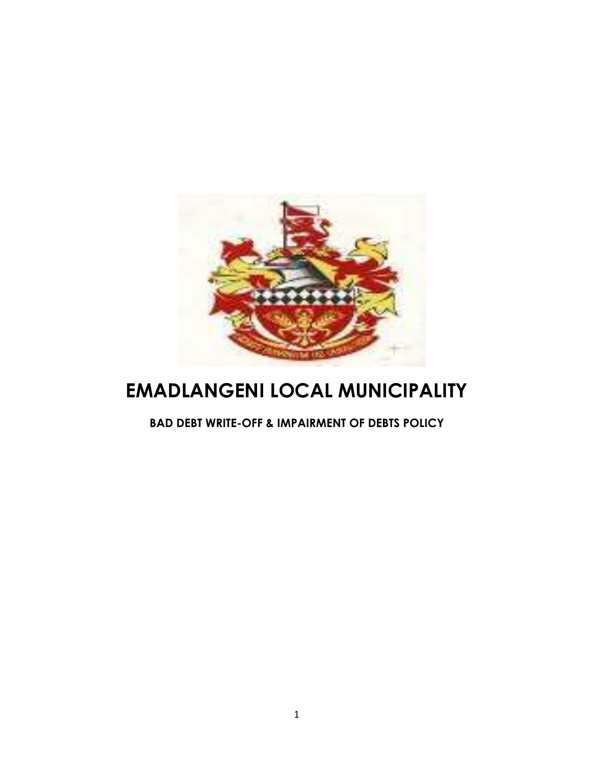

# **EMADLANGENI LOCAL MUNICIPALITY**

**BAD DEBT WRITE-OFF & IMPAIRMENT OF DEBTS POLICY**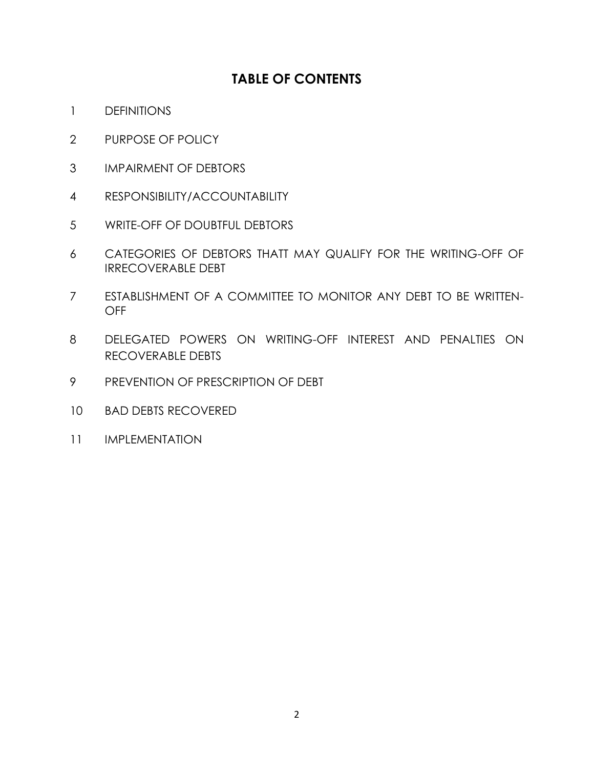# **TABLE OF CONTENTS**

- DEFINITIONS
- PURPOSE OF POLICY
- IMPAIRMENT OF DEBTORS
- RESPONSIBILITY/ACCOUNTABILITY
- WRITE-OFF OF DOUBTFUL DEBTORS
- CATEGORIES OF DEBTORS THATT MAY QUALIFY FOR THE WRITING-OFF OF IRRECOVERABLE DEBT
- ESTABLISHMENT OF A COMMITTEE TO MONITOR ANY DEBT TO BE WRITTEN-OFF
- DELEGATED POWERS ON WRITING-OFF INTEREST AND PENALTIES ON RECOVERABLE DEBTS
- PREVENTION OF PRESCRIPTION OF DEBT
- BAD DEBTS RECOVERED
- IMPLEMENTATION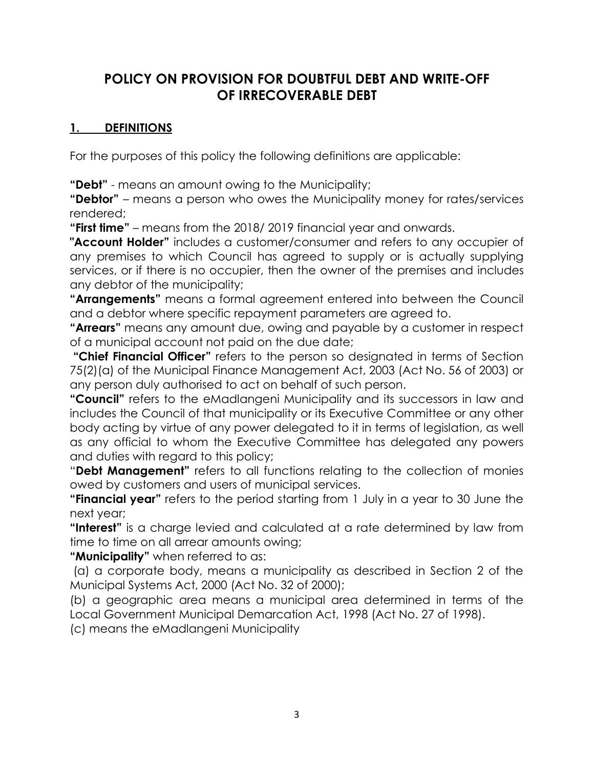# **POLICY ON PROVISION FOR DOUBTFUL DEBT AND WRITE-OFF OF IRRECOVERABLE DEBT**

#### **1. DEFINITIONS**

For the purposes of this policy the following definitions are applicable:

**"Debt"** - means an amount owing to the Municipality;

**"Debtor"** – means a person who owes the Municipality money for rates/services rendered;

**"First time"** – means from the 2018/ 2019 financial year and onwards.

**"Account Holder"** includes a customer/consumer and refers to any occupier of any premises to which Council has agreed to supply or is actually supplying services, or if there is no occupier, then the owner of the premises and includes any debtor of the municipality;

**"Arrangements"** means a formal agreement entered into between the Council and a debtor where specific repayment parameters are agreed to.

**"Arrears"** means any amount due, owing and payable by a customer in respect of a municipal account not paid on the due date;

**"Chief Financial Officer"** refers to the person so designated in terms of Section 75(2)(a) of the Municipal Finance Management Act, 2003 (Act No. 56 of 2003) or any person duly authorised to act on behalf of such person.

**"Council"** refers to the eMadlangeni Municipality and its successors in law and includes the Council of that municipality or its Executive Committee or any other body acting by virtue of any power delegated to it in terms of legislation, as well as any official to whom the Executive Committee has delegated any powers and duties with regard to this policy;

"**Debt Management"** refers to all functions relating to the collection of monies owed by customers and users of municipal services.

**"Financial year"** refers to the period starting from 1 July in a year to 30 June the next year;

**"Interest"** is a charge levied and calculated at a rate determined by law from time to time on all arrear amounts owing;

**"Municipality"** when referred to as:

(a) a corporate body, means a municipality as described in Section 2 of the Municipal Systems Act, 2000 (Act No. 32 of 2000);

(b) a geographic area means a municipal area determined in terms of the Local Government Municipal Demarcation Act, 1998 (Act No. 27 of 1998).

(c) means the eMadlangeni Municipality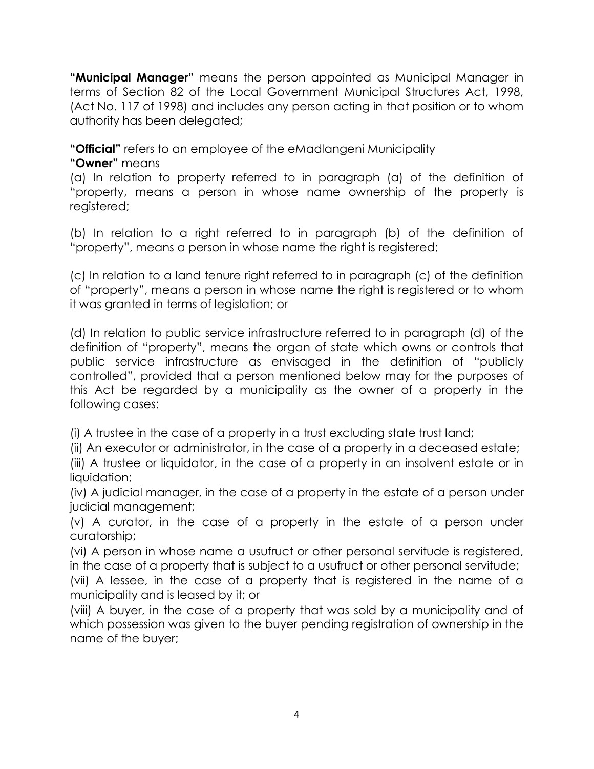**"Municipal Manager"** means the person appointed as Municipal Manager in terms of Section 82 of the Local Government Municipal Structures Act, 1998, (Act No. 117 of 1998) and includes any person acting in that position or to whom authority has been delegated;

**"Official"** refers to an employee of the eMadlangeni Municipality

**"Owner"** means

(a) In relation to property referred to in paragraph (a) of the definition of "property, means a person in whose name ownership of the property is registered;

(b) In relation to a right referred to in paragraph (b) of the definition of "property", means a person in whose name the right is registered;

(c) In relation to a land tenure right referred to in paragraph (c) of the definition of "property", means a person in whose name the right is registered or to whom it was granted in terms of legislation; or

(d) In relation to public service infrastructure referred to in paragraph (d) of the definition of "property", means the organ of state which owns or controls that public service infrastructure as envisaged in the definition of "publicly controlled", provided that a person mentioned below may for the purposes of this Act be regarded by a municipality as the owner of a property in the following cases:

(i) A trustee in the case of a property in a trust excluding state trust land;

(ii) An executor or administrator, in the case of a property in a deceased estate;

(iii) A trustee or liquidator, in the case of a property in an insolvent estate or in liquidation;

(iv) A judicial manager, in the case of a property in the estate of a person under judicial management;

(v) A curator, in the case of a property in the estate of a person under curatorship;

(vi) A person in whose name a usufruct or other personal servitude is registered, in the case of a property that is subject to a usufruct or other personal servitude;

(vii) A lessee, in the case of a property that is registered in the name of a municipality and is leased by it; or

(viii) A buyer, in the case of a property that was sold by a municipality and of which possession was given to the buyer pending registration of ownership in the name of the buyer;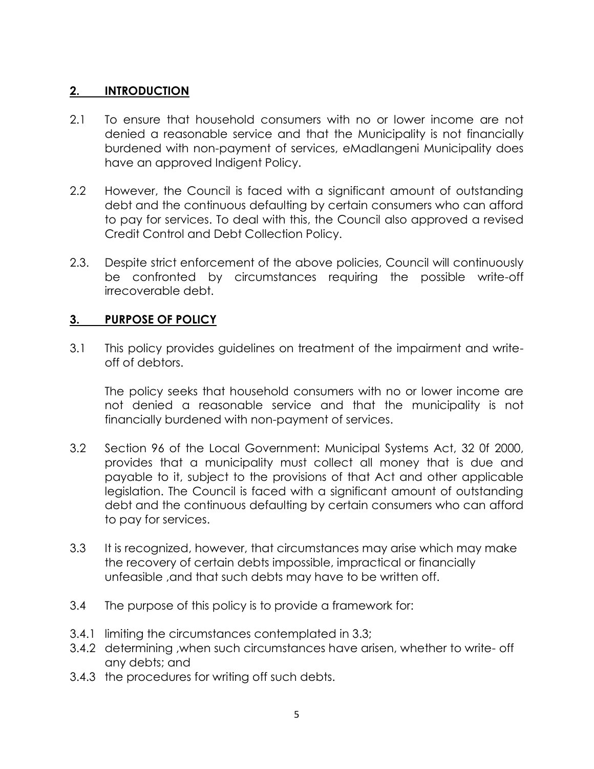#### **2. INTRODUCTION**

- 2.1 To ensure that household consumers with no or lower income are not denied a reasonable service and that the Municipality is not financially burdened with non-payment of services, eMadlangeni Municipality does have an approved Indigent Policy.
- 2.2 However, the Council is faced with a significant amount of outstanding debt and the continuous defaulting by certain consumers who can afford to pay for services. To deal with this, the Council also approved a revised Credit Control and Debt Collection Policy.
- 2.3. Despite strict enforcement of the above policies, Council will continuously be confronted by circumstances requiring the possible write-off irrecoverable debt.

# **3. PURPOSE OF POLICY**

3.1 This policy provides guidelines on treatment of the impairment and writeoff of debtors.

The policy seeks that household consumers with no or lower income are not denied a reasonable service and that the municipality is not financially burdened with non-payment of services.

- 3.2 Section 96 of the Local Government: Municipal Systems Act, 32 0f 2000, provides that a municipality must collect all money that is due and payable to it, subject to the provisions of that Act and other applicable legislation. The Council is faced with a significant amount of outstanding debt and the continuous defaulting by certain consumers who can afford to pay for services.
- 3.3 It is recognized, however, that circumstances may arise which may make the recovery of certain debts impossible, impractical or financially unfeasible ,and that such debts may have to be written off.
- 3.4 The purpose of this policy is to provide a framework for:
- 3.4.1 limiting the circumstances contemplated in 3.3;
- 3.4.2 determining ,when such circumstances have arisen, whether to write- off any debts; and
- 3.4.3 the procedures for writing off such debts.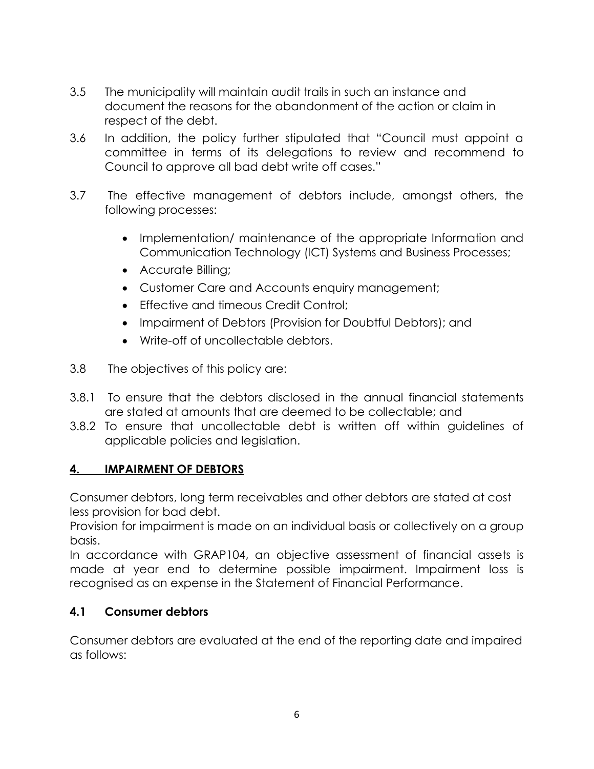- 3.5 The municipality will maintain audit trails in such an instance and document the reasons for the abandonment of the action or claim in respect of the debt.
- 3.6 In addition, the policy further stipulated that "Council must appoint a committee in terms of its delegations to review and recommend to Council to approve all bad debt write off cases."
- 3.7 The effective management of debtors include, amongst others, the following processes:
	- Implementation/ maintenance of the appropriate Information and Communication Technology (ICT) Systems and Business Processes;
	- Accurate Billing;
	- Customer Care and Accounts enquiry management;
	- Effective and timeous Credit Control:
	- Impairment of Debtors (Provision for Doubtful Debtors); and
	- Write-off of uncollectable debtors.
- 3.8 The objectives of this policy are:
- 3.8.1 To ensure that the debtors disclosed in the annual financial statements are stated at amounts that are deemed to be collectable; and
- 3.8.2 To ensure that uncollectable debt is written off within guidelines of applicable policies and legislation.

# **4. IMPAIRMENT OF DEBTORS**

Consumer debtors, long term receivables and other debtors are stated at cost less provision for bad debt.

Provision for impairment is made on an individual basis or collectively on a group basis.

In accordance with GRAP104, an objective assessment of financial assets is made at year end to determine possible impairment. Impairment loss is recognised as an expense in the Statement of Financial Performance.

# **4.1 Consumer debtors**

Consumer debtors are evaluated at the end of the reporting date and impaired as follows: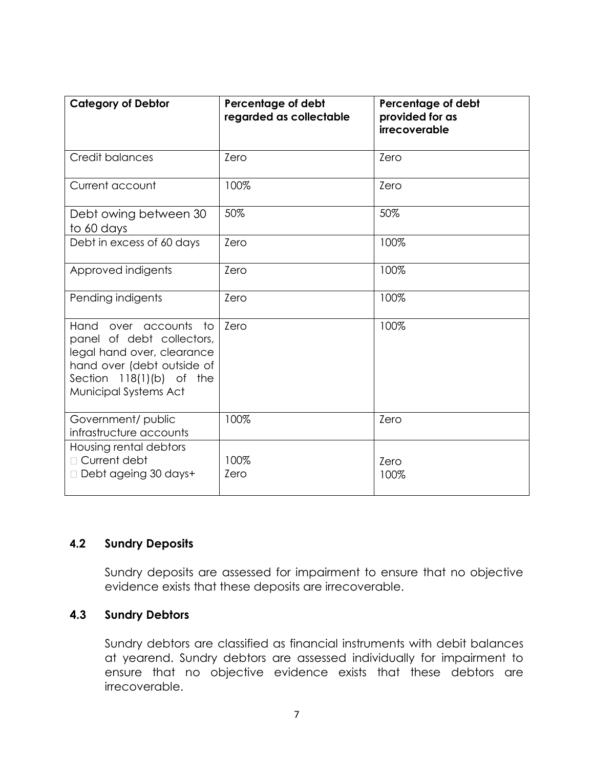| <b>Category of Debtor</b>                                                                                                                                                | Percentage of debt<br>regarded as collectable | Percentage of debt<br>provided for as<br>irrecoverable |
|--------------------------------------------------------------------------------------------------------------------------------------------------------------------------|-----------------------------------------------|--------------------------------------------------------|
| <b>Credit balances</b>                                                                                                                                                   | Zero                                          | Zero                                                   |
| Current account                                                                                                                                                          | 100%                                          | Zero                                                   |
| Debt owing between 30<br>to 60 days                                                                                                                                      | 50%                                           | 50%                                                    |
| Debt in excess of 60 days                                                                                                                                                | Zero                                          | 100%                                                   |
| Approved indigents                                                                                                                                                       | Zero                                          | 100%                                                   |
| Pending indigents                                                                                                                                                        | Zero                                          | 100%                                                   |
| Hand over accounts<br>to<br>panel of debt collectors,<br>legal hand over, clearance<br>hand over (debt outside of<br>Section $118(1)(b)$ of the<br>Municipal Systems Act | Zero                                          | 100%                                                   |
| Government/ public<br>infrastructure accounts                                                                                                                            | 100%                                          | Zero                                                   |
| Housing rental debtors<br>□ Current debt<br>Debt ageing 30 days+                                                                                                         | 100%<br>Zero                                  | Zero<br>100%                                           |

#### **4.2 Sundry Deposits**

Sundry deposits are assessed for impairment to ensure that no objective evidence exists that these deposits are irrecoverable.

#### **4.3 Sundry Debtors**

Sundry debtors are classified as financial instruments with debit balances at yearend. Sundry debtors are assessed individually for impairment to ensure that no objective evidence exists that these debtors are irrecoverable.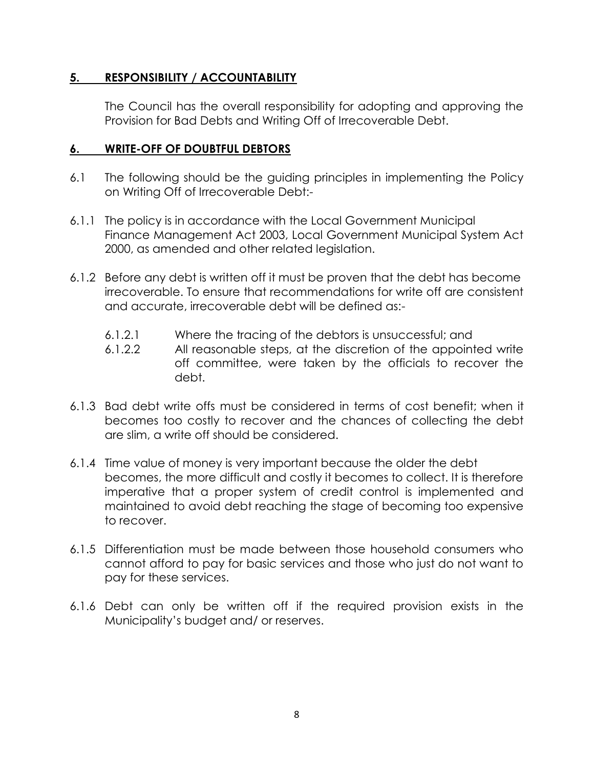#### **5. RESPONSIBILITY / ACCOUNTABILITY**

The Council has the overall responsibility for adopting and approving the Provision for Bad Debts and Writing Off of Irrecoverable Debt.

#### **6. WRITE-OFF OF DOUBTFUL DEBTORS**

- 6.1 The following should be the guiding principles in implementing the Policy on Writing Off of Irrecoverable Debt:-
- 6.1.1 The policy is in accordance with the Local Government Municipal Finance Management Act 2003, Local Government Municipal System Act 2000, as amended and other related legislation.
- 6.1.2 Before any debt is written off it must be proven that the debt has become irrecoverable. To ensure that recommendations for write off are consistent and accurate, irrecoverable debt will be defined as:-
	- 6.1.2.1 Where the tracing of the debtors is unsuccessful; and
	- 6.1.2.2 All reasonable steps, at the discretion of the appointed write off committee, were taken by the officials to recover the debt.
- 6.1.3 Bad debt write offs must be considered in terms of cost benefit; when it becomes too costly to recover and the chances of collecting the debt are slim, a write off should be considered.
- 6.1.4 Time value of money is very important because the older the debt becomes, the more difficult and costly it becomes to collect. It is therefore imperative that a proper system of credit control is implemented and maintained to avoid debt reaching the stage of becoming too expensive to recover.
- 6.1.5 Differentiation must be made between those household consumers who cannot afford to pay for basic services and those who just do not want to pay for these services.
- 6.1.6 Debt can only be written off if the required provision exists in the Municipality's budget and/ or reserves.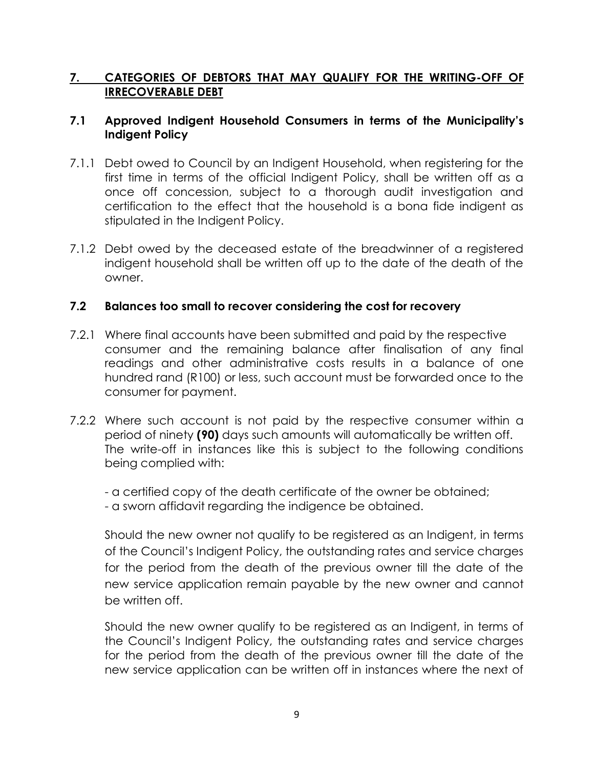#### **7. CATEGORIES OF DEBTORS THAT MAY QUALIFY FOR THE WRITING-OFF OF IRRECOVERABLE DEBT**

#### **7.1 Approved Indigent Household Consumers in terms of the Municipality's Indigent Policy**

- 7.1.1 Debt owed to Council by an Indigent Household, when registering for the first time in terms of the official Indigent Policy, shall be written off as a once off concession, subject to a thorough audit investigation and certification to the effect that the household is a bona fide indigent as stipulated in the Indigent Policy.
- 7.1.2 Debt owed by the deceased estate of the breadwinner of a registered indigent household shall be written off up to the date of the death of the owner.

#### **7.2 Balances too small to recover considering the cost for recovery**

- 7.2.1 Where final accounts have been submitted and paid by the respective consumer and the remaining balance after finalisation of any final readings and other administrative costs results in a balance of one hundred rand (R100) or less, such account must be forwarded once to the consumer for payment.
- 7.2.2 Where such account is not paid by the respective consumer within a period of ninety **(90)** days such amounts will automatically be written off. The write-off in instances like this is subject to the following conditions being complied with:

- a certified copy of the death certificate of the owner be obtained;

- a sworn affidavit regarding the indigence be obtained.

Should the new owner not qualify to be registered as an Indigent, in terms of the Council's Indigent Policy, the outstanding rates and service charges for the period from the death of the previous owner till the date of the new service application remain payable by the new owner and cannot be written off.

Should the new owner qualify to be registered as an Indigent, in terms of the Council's Indigent Policy, the outstanding rates and service charges for the period from the death of the previous owner till the date of the new service application can be written off in instances where the next of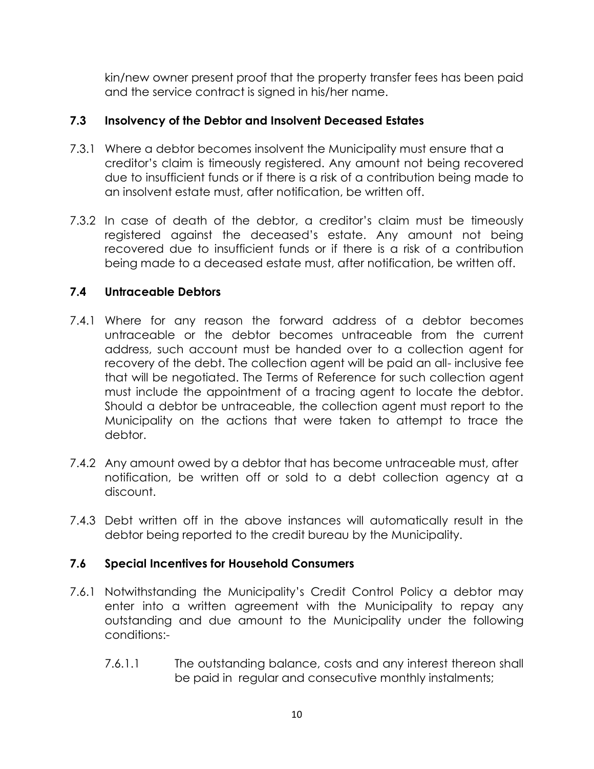kin/new owner present proof that the property transfer fees has been paid and the service contract is signed in his/her name.

#### **7.3 Insolvency of the Debtor and Insolvent Deceased Estates**

- 7.3.1 Where a debtor becomes insolvent the Municipality must ensure that a creditor's claim is timeously registered. Any amount not being recovered due to insufficient funds or if there is a risk of a contribution being made to an insolvent estate must, after notification, be written off.
- 7.3.2 In case of death of the debtor, a creditor's claim must be timeously registered against the deceased's estate. Any amount not being recovered due to insufficient funds or if there is a risk of a contribution being made to a deceased estate must, after notification, be written off.

#### **7.4 Untraceable Debtors**

- 7.4.1 Where for any reason the forward address of a debtor becomes untraceable or the debtor becomes untraceable from the current address, such account must be handed over to a collection agent for recovery of the debt. The collection agent will be paid an all- inclusive fee that will be negotiated. The Terms of Reference for such collection agent must include the appointment of a tracing agent to locate the debtor. Should a debtor be untraceable, the collection agent must report to the Municipality on the actions that were taken to attempt to trace the debtor.
- 7.4.2 Any amount owed by a debtor that has become untraceable must, after notification, be written off or sold to a debt collection agency at a discount.
- 7.4.3 Debt written off in the above instances will automatically result in the debtor being reported to the credit bureau by the Municipality.

# **7.6 Special Incentives for Household Consumers**

- 7.6.1 Notwithstanding the Municipality's Credit Control Policy a debtor may enter into a written agreement with the Municipality to repay any outstanding and due amount to the Municipality under the following conditions:-
	- 7.6.1.1 The outstanding balance, costs and any interest thereon shall be paid in regular and consecutive monthly instalments;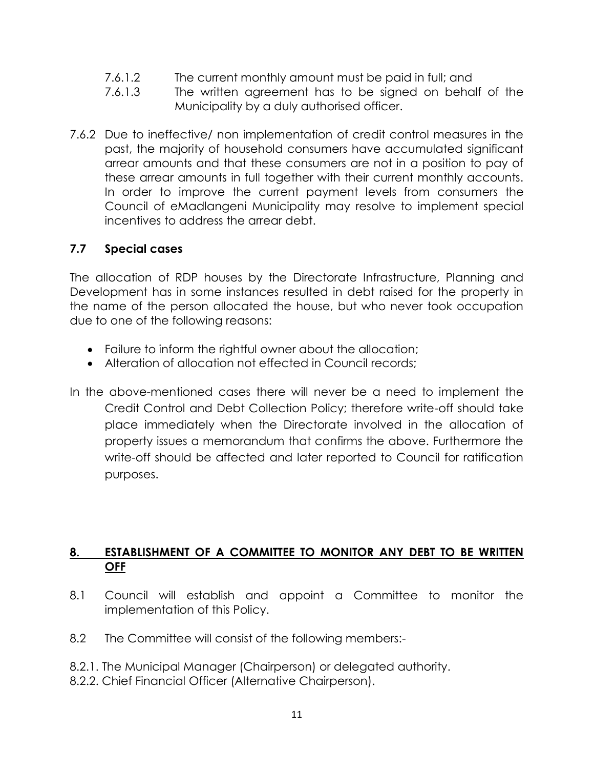- 7.6.1.2 The current monthly amount must be paid in full; and
- 7.6.1.3 The written agreement has to be signed on behalf of the Municipality by a duly authorised officer.
- 7.6.2 Due to ineffective/ non implementation of credit control measures in the past, the majority of household consumers have accumulated significant arrear amounts and that these consumers are not in a position to pay of these arrear amounts in full together with their current monthly accounts. In order to improve the current payment levels from consumers the Council of eMadlangeni Municipality may resolve to implement special incentives to address the arrear debt.

#### **7.7 Special cases**

The allocation of RDP houses by the Directorate Infrastructure, Planning and Development has in some instances resulted in debt raised for the property in the name of the person allocated the house, but who never took occupation due to one of the following reasons:

- Failure to inform the rightful owner about the allocation;
- Alteration of allocation not effected in Council records;
- In the above-mentioned cases there will never be a need to implement the Credit Control and Debt Collection Policy; therefore write-off should take place immediately when the Directorate involved in the allocation of property issues a memorandum that confirms the above. Furthermore the write-off should be affected and later reported to Council for ratification purposes.

#### **8. ESTABLISHMENT OF A COMMITTEE TO MONITOR ANY DEBT TO BE WRITTEN OFF**

- 8.1 Council will establish and appoint a Committee to monitor the implementation of this Policy.
- 8.2 The Committee will consist of the following members:-
- 8.2.1. The Municipal Manager (Chairperson) or delegated authority.
- 8.2.2. Chief Financial Officer (Alternative Chairperson).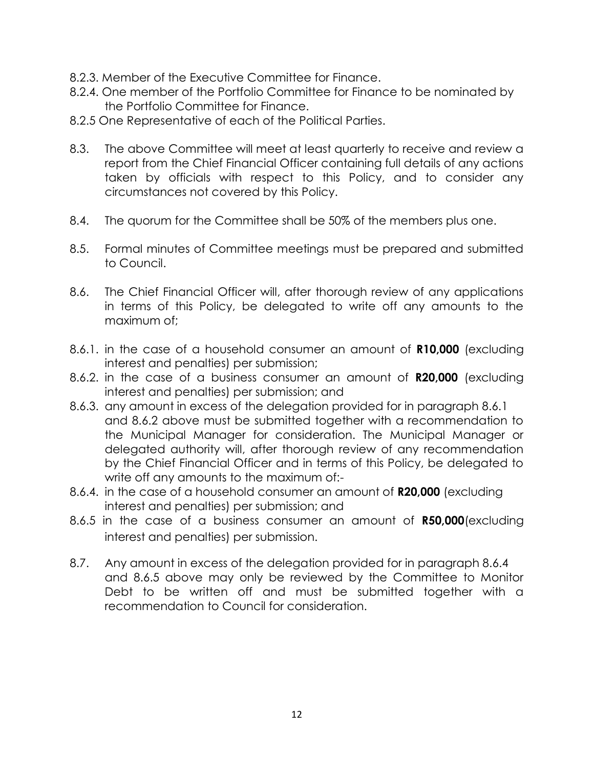- 8.2.3. Member of the Executive Committee for Finance.
- 8.2.4. One member of the Portfolio Committee for Finance to be nominated by the Portfolio Committee for Finance.
- 8.2.5 One Representative of each of the Political Parties.
- 8.3. The above Committee will meet at least quarterly to receive and review a report from the Chief Financial Officer containing full details of any actions taken by officials with respect to this Policy, and to consider any circumstances not covered by this Policy.
- 8.4. The quorum for the Committee shall be 50% of the members plus one.
- 8.5. Formal minutes of Committee meetings must be prepared and submitted to Council.
- 8.6. The Chief Financial Officer will, after thorough review of any applications in terms of this Policy, be delegated to write off any amounts to the maximum of;
- 8.6.1. in the case of a household consumer an amount of **R10,000** (excluding interest and penalties) per submission;
- 8.6.2. in the case of a business consumer an amount of **R20,000** (excluding interest and penalties) per submission; and
- 8.6.3. any amount in excess of the delegation provided for in paragraph 8.6.1 and 8.6.2 above must be submitted together with a recommendation to the Municipal Manager for consideration. The Municipal Manager or delegated authority will, after thorough review of any recommendation by the Chief Financial Officer and in terms of this Policy, be delegated to write off any amounts to the maximum of:-
- 8.6.4. in the case of a household consumer an amount of **R20,000** (excluding interest and penalties) per submission; and
- 8.6.5 in the case of a business consumer an amount of **R50,000**(excluding interest and penalties) per submission.
- 8.7. Any amount in excess of the delegation provided for in paragraph 8.6.4 and 8.6.5 above may only be reviewed by the Committee to Monitor Debt to be written off and must be submitted together with a recommendation to Council for consideration.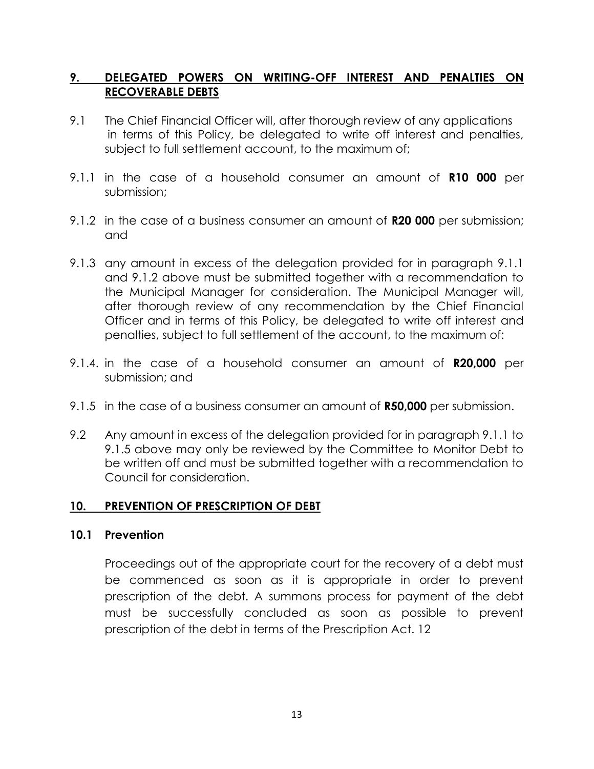#### **9. DELEGATED POWERS ON WRITING-OFF INTEREST AND PENALTIES ON RECOVERABLE DEBTS**

- 9.1 The Chief Financial Officer will, after thorough review of any applications in terms of this Policy, be delegated to write off interest and penalties, subject to full settlement account, to the maximum of;
- 9.1.1 in the case of a household consumer an amount of **R10 000** per submission;
- 9.1.2 in the case of a business consumer an amount of **R20 000** per submission; and
- 9.1.3 any amount in excess of the delegation provided for in paragraph 9.1.1 and 9.1.2 above must be submitted together with a recommendation to the Municipal Manager for consideration. The Municipal Manager will, after thorough review of any recommendation by the Chief Financial Officer and in terms of this Policy, be delegated to write off interest and penalties, subject to full settlement of the account, to the maximum of:
- 9.1.4. in the case of a household consumer an amount of **R20,000** per submission; and
- 9.1.5 in the case of a business consumer an amount of **R50,000** per submission.
- 9.2 Any amount in excess of the delegation provided for in paragraph 9.1.1 to 9.1.5 above may only be reviewed by the Committee to Monitor Debt to be written off and must be submitted together with a recommendation to Council for consideration.

#### **10. PREVENTION OF PRESCRIPTION OF DEBT**

#### **10.1 Prevention**

Proceedings out of the appropriate court for the recovery of a debt must be commenced as soon as it is appropriate in order to prevent prescription of the debt. A summons process for payment of the debt must be successfully concluded as soon as possible to prevent prescription of the debt in terms of the Prescription Act. 12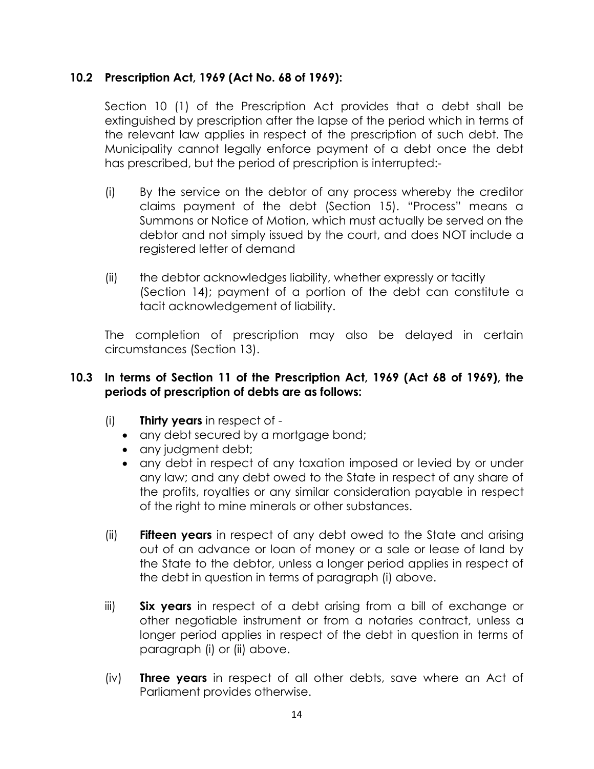#### **10.2 Prescription Act, 1969 (Act No. 68 of 1969):**

Section 10 (1) of the Prescription Act provides that a debt shall be extinguished by prescription after the lapse of the period which in terms of the relevant law applies in respect of the prescription of such debt. The Municipality cannot legally enforce payment of a debt once the debt has prescribed, but the period of prescription is interrupted:-

- (i) By the service on the debtor of any process whereby the creditor claims payment of the debt (Section 15). "Process" means a Summons or Notice of Motion, which must actually be served on the debtor and not simply issued by the court, and does NOT include a registered letter of demand
- (ii) the debtor acknowledges liability, whether expressly or tacitly (Section 14); payment of a portion of the debt can constitute a tacit acknowledgement of liability.

The completion of prescription may also be delayed in certain circumstances (Section 13).

#### **10.3 In terms of Section 11 of the Prescription Act, 1969 (Act 68 of 1969), the periods of prescription of debts are as follows:**

- (i) **Thirty years** in respect of
	- any debt secured by a mortgage bond;
	- any judgment debt;
	- any debt in respect of any taxation imposed or levied by or under any law; and any debt owed to the State in respect of any share of the profits, royalties or any similar consideration payable in respect of the right to mine minerals or other substances.
- (ii) **Fifteen years** in respect of any debt owed to the State and arising out of an advance or loan of money or a sale or lease of land by the State to the debtor, unless a longer period applies in respect of the debt in question in terms of paragraph (i) above.
- iii) **Six years** in respect of a debt arising from a bill of exchange or other negotiable instrument or from a notaries contract, unless a longer period applies in respect of the debt in question in terms of paragraph (i) or (ii) above.
- (iv) **Three years** in respect of all other debts, save where an Act of Parliament provides otherwise.